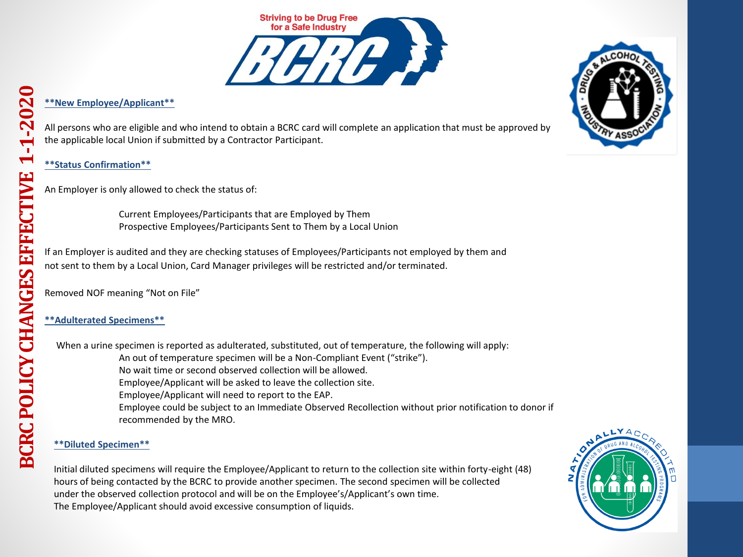

# **\*\*New Employee/Applicant\*\***

All persons who are eligible and who intend to obtain a BCRC card will complete an application that must be approved by the applicable local Union if submitted by a Contractor Participant.

**\*\*Status Confirmation\*\***

An Employer is only allowed to check the status of:

Current Employees/Participants that are Employed by Them Prospective Employees/Participants Sent to Them by a Local Union

If an Employer is audited and they are checking statuses of Employees/Participants not employed by them and not sent to them by a Local Union, Card Manager privileges will be restricted and/or terminated.

Removed NOF meaning "Not on File"

# **\*\*Adulterated Specimens\*\***

When a urine specimen is reported as adulterated, substituted, out of temperature, the following will apply: An out of temperature specimen will be a Non-Compliant Event ("strike"). No wait time or second observed collection will be allowed. Employee/Applicant will be asked to leave the collection site. Employee/Applicant will need to report to the EAP. Employee could be subject to an Immediate Observed Recollection without prior notification to donor if recommended by the MRO.

# **\*\*Diluted Specimen\*\***

Initial diluted specimens will require the Employee/Applicant to return to the collection site within forty-eight (48) hours of being contacted by the BCRC to provide another specimen. The second specimen will be collected under the observed collection protocol and will be on the Employee's/Applicant's own time. The Employee/Applicant should avoid excessive consumption of liquids.



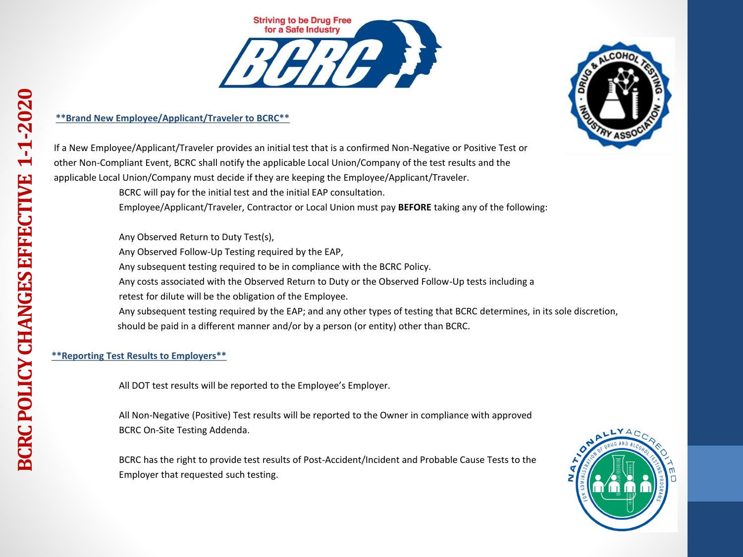

# **\*\*Brand New Employee/Applicant/Traveler to BCRC\*\***



If a New Employee/Applicant/Traveler provides an initial test that is a confirmed Non-Negative or Positive Test or other Non-Compliant Event, BCRC shall notify the applicable Local Union/Company of the test results and the applicable Local Union/Company must decide if they are keeping the Employee/Applicant/Traveler.

BCRC will pay for the initial test and the initial EAP consultation.

Employee/Applicant/Traveler, Contractor or Local Union must pay **BEFORE** taking any of the following:

Any Observed Return to Duty Test(s),

Any Observed Follow-Up Testing required by the EAP,

Any subsequent testing required to be in compliance with the BCRC Policy.

Any costs associated with the Observed Return to Duty or the Observed Follow-Up tests including a

retest for dilute will be the obligation of the Employee.

Any subsequent testing required by the EAP; and any other types of testing that BCRC determines, in its sole discretion, should be paid in a different manner and/or by a person (or entity) other than BCRC.

# **\*\*Reporting Test Results to Employers\*\***

All DOT test results will be reported to the Employee's Employer.

All Non-Negative (Positive) Test results will be reported to the Owner in compliance with approved BCRC On-Site Testing Addenda.

BCRC has the right to provide test results of Post-Accident/Incident and Probable Cause Tests to the Employer that requested such testing.

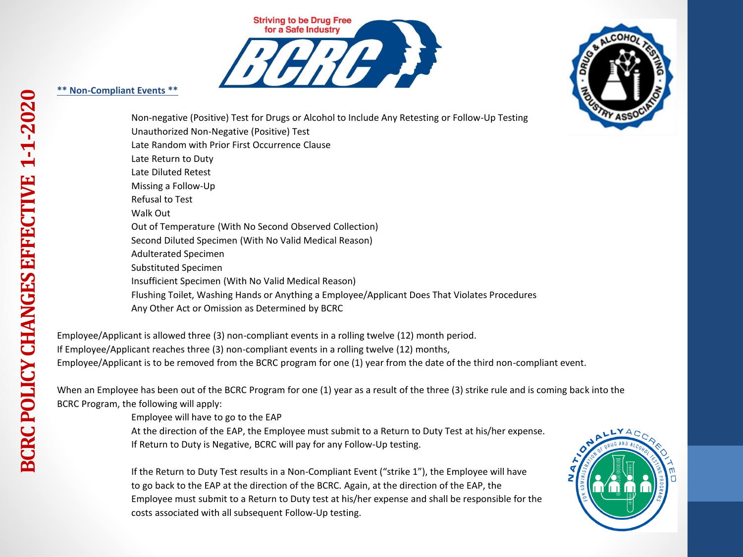

# **\*\* Non-Compliant Events \*\***



Non-negative (Positive) Test for Drugs or Alcohol to Include Any Retesting or Follow-Up Testing Unauthorized Non-Negative (Positive) Test Late Random with Prior First Occurrence Clause Late Return to Duty Late Diluted Retest Missing a Follow-Up Refusal to Test Walk Out Out of Temperature (With No Second Observed Collection) Second Diluted Specimen (With No Valid Medical Reason) Adulterated Specimen Substituted Specimen Insufficient Specimen (With No Valid Medical Reason) Flushing Toilet, Washing Hands or Anything a Employee/Applicant Does That Violates Procedures Any Other Act or Omission as Determined by BCRC

Employee/Applicant is allowed three (3) non-compliant events in a rolling twelve (12) month period. If Employee/Applicant reaches three (3) non-compliant events in a rolling twelve (12) months, Employee/Applicant is to be removed from the BCRC program for one (1) year from the date of the third non-compliant event.

When an Employee has been out of the BCRC Program for one (1) year as a result of the three (3) strike rule and is coming back into the BCRC Program, the following will apply:

Employee will have to go to the EAP

At the direction of the EAP, the Employee must submit to a Return to Duty Test at his/her expense. If Return to Duty is Negative, BCRC will pay for any Follow-Up testing.

If the Return to Duty Test results in a Non-Compliant Event ("strike 1"), the Employee will have to go back to the EAP at the direction of the BCRC. Again, at the direction of the EAP, the Employee must submit to a Return to Duty test at his/her expense and shall be responsible for the costs associated with all subsequent Follow-Up testing.

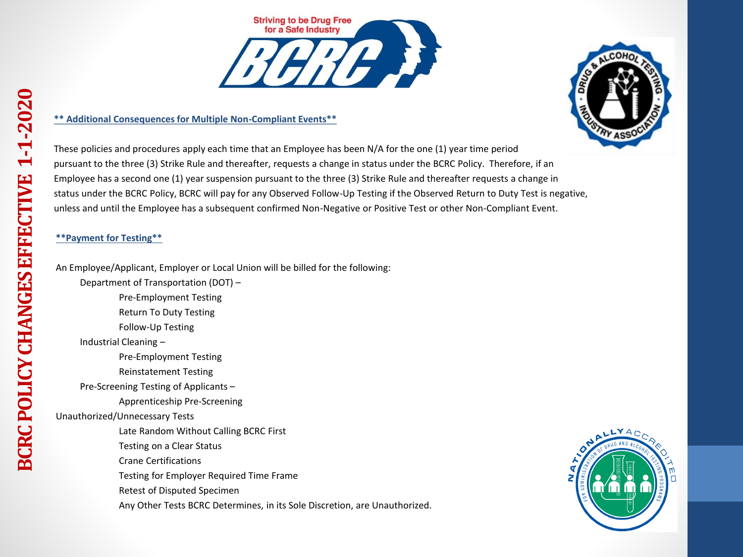### **\*\* Additional Consequences for Multiple Non-Compliant Events\*\***

These policies and procedures apply each time that an Employee has been N/A for the one (1) year time period pursuant to the three (3) Strike Rule and thereafter, requests a change in status under the BCRC Policy. Therefore, if an Employee has a second one (1) year suspension pursuant to the three (3) Strike Rule and thereafter requests a change in status under the BCRC Policy, BCRC will pay for any Observed Follow-Up Testing if the Observed Return to Duty Test is negative, unless and until the Employee has a subsequent confirmed Non-Negative or Positive Test or other Non-Compliant Event.

# **\*\*Payment for Testing\*\***

An Employee/Applicant, Employer or Local Union will be billed for the following:

Department of Transportation (DOT) –

Pre-Employment Testing

Return To Duty Testing

Follow-Up Testing

Industrial Cleaning –

Pre-Employment Testing

Reinstatement Testing

Pre-Screening Testing of Applicants –

Apprenticeship Pre-Screening

Unauthorized/Unnecessary Tests

Late Random Without Calling BCRC First

Testing on a Clear Status

Crane Certifications

Testing for Employer Required Time Frame

Retest of Disputed Specimen

Any Other Tests BCRC Determines, in its Sole Discretion, are Unauthorized.



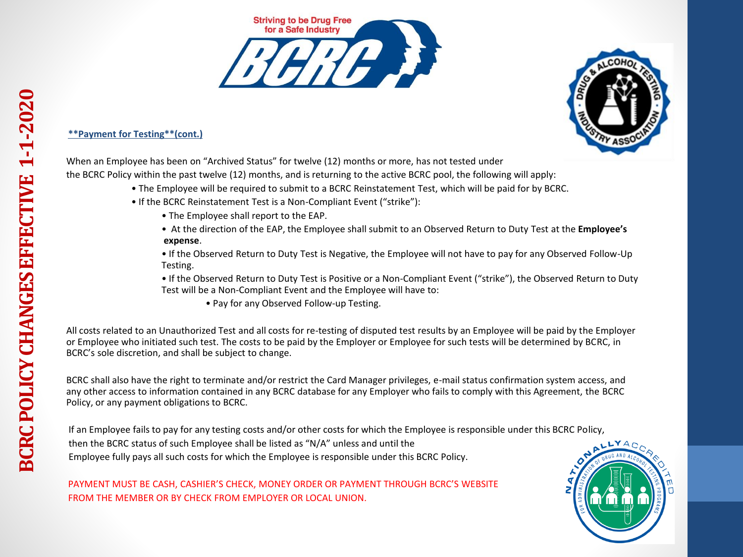



# **\*\*Payment for Testing\*\*(cont.)**

When an Employee has been on "Archived Status" for twelve (12) months or more, has not tested under

the BCRC Policy within the past twelve (12) months, and is returning to the active BCRC pool, the following will apply:

- The Employee will be required to submit to a BCRC Reinstatement Test, which will be paid for by BCRC.
- If the BCRC Reinstatement Test is a Non-Compliant Event ("strike"):
	- The Employee shall report to the EAP.
	- At the direction of the EAP, the Employee shall submit to an Observed Return to Duty Test at the **Employee's expense**.
	- If the Observed Return to Duty Test is Negative, the Employee will not have to pay for any Observed Follow-Up Testing.
	- If the Observed Return to Duty Test is Positive or a Non-Compliant Event ("strike"), the Observed Return to Duty Test will be a Non-Compliant Event and the Employee will have to:
		- Pay for any Observed Follow-up Testing.

All costs related to an Unauthorized Test and all costs for re-testing of disputed test results by an Employee will be paid by the Employer or Employee who initiated such test. The costs to be paid by the Employer or Employee for such tests will be determined by BCRC, in BCRC's sole discretion, and shall be subject to change.

BCRC shall also have the right to terminate and/or restrict the Card Manager privileges, e-mail status confirmation system access, and any other access to information contained in any BCRC database for any Employer who fails to comply with this Agreement, the BCRC Policy, or any payment obligations to BCRC.

If an Employee fails to pay for any testing costs and/or other costs for which the Employee is responsible under this BCRC Policy, then the BCRC status of such Employee shall be listed as "N/A" unless and until the Employee fully pays all such costs for which the Employee is responsible under this BCRC Policy.

PAYMENT MUST BE CASH, CASHIER'S CHECK, MONEY ORDER OR PAYMENT THROUGH BCRC'S WEBSITE FROM THE MEMBER OR BY CHECK FROM EMPLOYER OR LOCAL UNION.

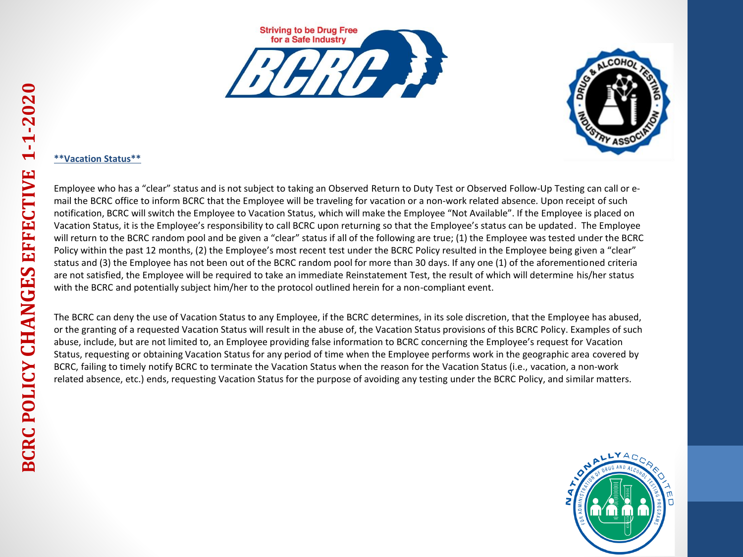





#### **\*\*Vacation Status\*\***

Employee who has a "clear" status and is not subject to taking an Observed Return to Duty Test or Observed Follow-Up Testing can call or email the BCRC office to inform BCRC that the Employee will be traveling for vacation or a non-work related absence. Upon receipt of such notification, BCRC will switch the Employee to Vacation Status, which will make the Employee "Not Available". If the Employee is placed on Vacation Status, it is the Employee's responsibility to call BCRC upon returning so that the Employee's status can be updated. The Employee will return to the BCRC random pool and be given a "clear" status if all of the following are true; (1) the Employee was tested under the BCRC Policy within the past 12 months, (2) the Employee's most recent test under the BCRC Policy resulted in the Employee being given a "clear" status and (3) the Employee has not been out of the BCRC random pool for more than 30 days. If any one (1) of the aforementioned criteria are not satisfied, the Employee will be required to take an immediate Reinstatement Test, the result of which will determine his/her status with the BCRC and potentially subject him/her to the protocol outlined herein for a non-compliant event.

The BCRC can deny the use of Vacation Status to any Employee, if the BCRC determines, in its sole discretion, that the Employee has abused, or the granting of a requested Vacation Status will result in the abuse of, the Vacation Status provisions of this BCRC Policy. Examples of such abuse, include, but are not limited to, an Employee providing false information to BCRC concerning the Employee's request for Vacation Status, requesting or obtaining Vacation Status for any period of time when the Employee performs work in the geographic area covered by BCRC, failing to timely notify BCRC to terminate the Vacation Status when the reason for the Vacation Status (i.e., vacation, a non-work related absence, etc.) ends, requesting Vacation Status for the purpose of avoiding any testing under the BCRC Policy, and similar matters.